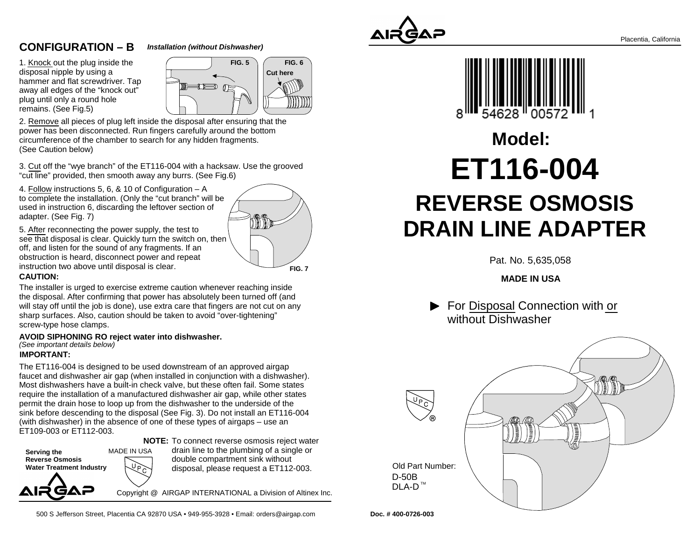# **CONFIGURATION – B**

#### **Installation (without Dishwasher)**

1. <u>Knock </u>out the plug inside the disposal nipple by using a hammer and flat screwdriver. Tap away all edges of the "knock out"plug until only a round holeremains. (See Fig.5)



2. Remove all pieces of plug left inside the disposal after ensuring that thepower has been disconnected. Run fingers carefully around the bottomcircumference of the chamber to search for any hidden fragments.(See Caution below)

3. Cut off the "wye branch" of the ET116-004 with a hacksaw. Use the grooved"cut line" provided, then smooth away any burrs. (See Fig.6)

4. Follow instructions 5, 6, & 10 of Configuration – A to complete the installation. (Only the "cut branch" will beused in instruction 6, discarding the leftover section ofadapter. (See Fig. 7)



5. After reconnecting the power supply, the test to see that disposal is clear. Quickly turn the switch on, thenoff, and listen for the sound of any fragments. If an obstruction is heard, disconnect power and repeatinstruction two above until disposal is clear.

### **CAUTION:**

The installer is urged to exercise extreme caution whenever reaching inside the disposal. After confirming that power has absolutely been turned off (and will stay off until the job is done), use extra care that fingers are not cut on anysharp surfaces. Also, caution should be taken to avoid "over-tightening"screw-type hose clamps.

**AVOID SIPHONING RO reject water into dishwasher.** (See important details below)

### **IMPORTANT:**

The ET116-004 is designed to be used downstream of an approved airgap faucet and dishwasher air gap (when installed in conjunction with a dishwasher).Most dishwashers have a built-in check valve, but these often fail. Some states require the installation of a manufactured dishwasher air gap, while other statespermit the drain hose to loop up from the dishwasher to the underside of the sink before descending to the disposal (See Fig. 3). Do not install an ET116-004(with dishwasher) in the absence of one of these types of airgaps – use anET109-003 or ET112-003.

**NOTE:** To connect reverse osmosis reject water

MADE IN USA**Serving the Reverse Osmosis Water Treatment Industry**AIR GAP

drain line to the plumbing of a single ordouble compartment sink withoutdisposal, please request a ET112-003.

Copyright @ AIRGAP INTERNATIONAL a Division of Altinex Inc.

500 S Jefferson Street, Placentia CA 92870 USA • 949-955-3928 • Email: orders@airgap.com





# **REVERSE OSMOSIS DRAIN LINE ADAPTERModel:ET116-004**

Pat. No. 5,635,058

**MADE IN USA**

▶ For Disposal Connection with or without Dishwasher



**Doc. # 400-0726-003**